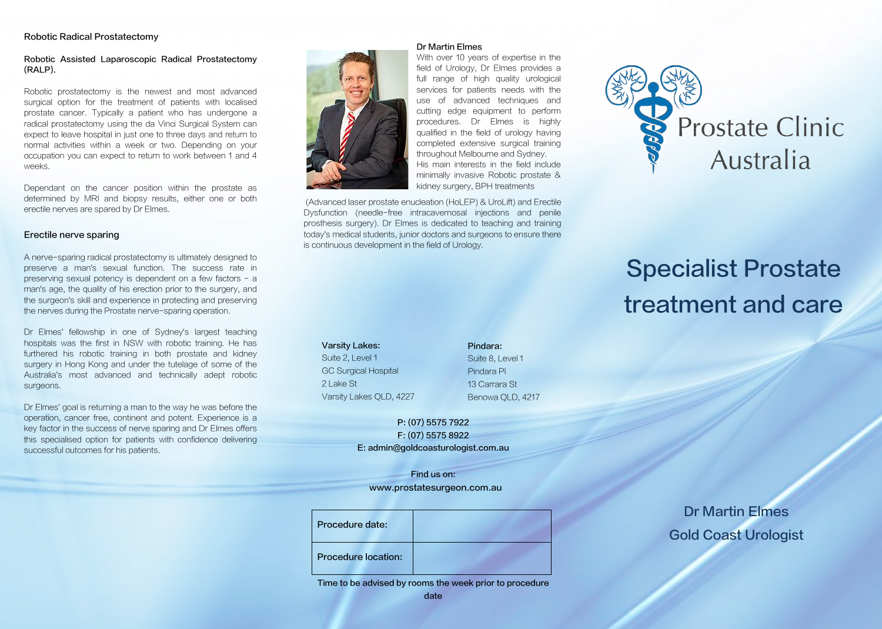#### **Robotic Radical Prostatectomy**

#### Robotic Assisted Laparoscopic Radical Prostatectomy (RALP).

Robotic prostatectomy is the newest and most advanced surgical option for the treatment of patients with localised prostate cancer. Typically a patient who has undergone a radical prostatectomy using the da Vinci Surgical System can expect to leave hospital in just one to three days and return to normal activities within a week or two. Depending on your occupation you can expect to return to work between 1 and 4 weeks.

Dependant on the cancer position within the prostate as determined by MRI and biopsy results, either one or both erectile nerves are spared by Dr Elmes.

#### Erectile nerve sparing

A nerve-sparing radical prostatectomy is ultimately designed to preserve a man's sexual function. The success rate in preserving sexual potency is dependent on a few factors - a man's age, the quality of his erection prior to the surgery, and the surgeon's skill and experience in protecting and preserving the nerves during the Prostate nerve-sparing operation.

Dr Elmes' fellowship in one of Sydney's largest teaching hospitals was the first in NSW with robotic training. He has furthered his robotic training in both prostate and kidney surgery in Hong Kong and under the tutelage of some of the Australia's most advanced and technically adept robotic surgeons.

Dr Elmes' goal is returning a man to the way he was before the operation, cancer free, continent and potent. Experience is a key factor in the success of nerve sparing and Dr Elmes offers this specialised option for patients with confidence delivering successful outcomes for his patients.



With over 10 years of expertise in the field of Urology, Dr Elmes provides a full range of high quality urological services for patients needs with the use of advanced techniques and cutting edge equipment to perform procedures. Dr Elmes is highly qualified in the field of urology having completed extensive surgical training throughout Melbourne and Sydney. His main interests in the field include minimally invasive Robotic prostate & kidney surgery, BPH treatments

(Advanced laser prostate enucleation (HoLEP) & UroLift) and Erectile Dysfunction (needle-free intracavernosal injections and penile prosthesis surgery). Dr Elmes is dedicated to teaching and training today's medical students, junior doctors and surgeons to ensure there is continuous development in the field of Urology.

**Varsity Lakes:** Suite 2. Level 1 **GC Surgical Hospital** 21 ake St Varsity Lakes OLD, 4227

#### Pindara:

Suite 8, Level 1 Pindara Pl 13 Carrara St Benowa QLD, 4217

P: (07) 5575 7922 F: (07) 5575 8922 E: admin@goldcoasturologist.com.au

Find us on: www.prostatesurgeon.com.au

| Procedure date:            |  |
|----------------------------|--|
| <b>Procedure location:</b> |  |

Time to be advised by rooms the week prior to procedure date



# **Specialist Prostate** treatment and care

**Dr Martin Elmes Gold Coast Urologist**